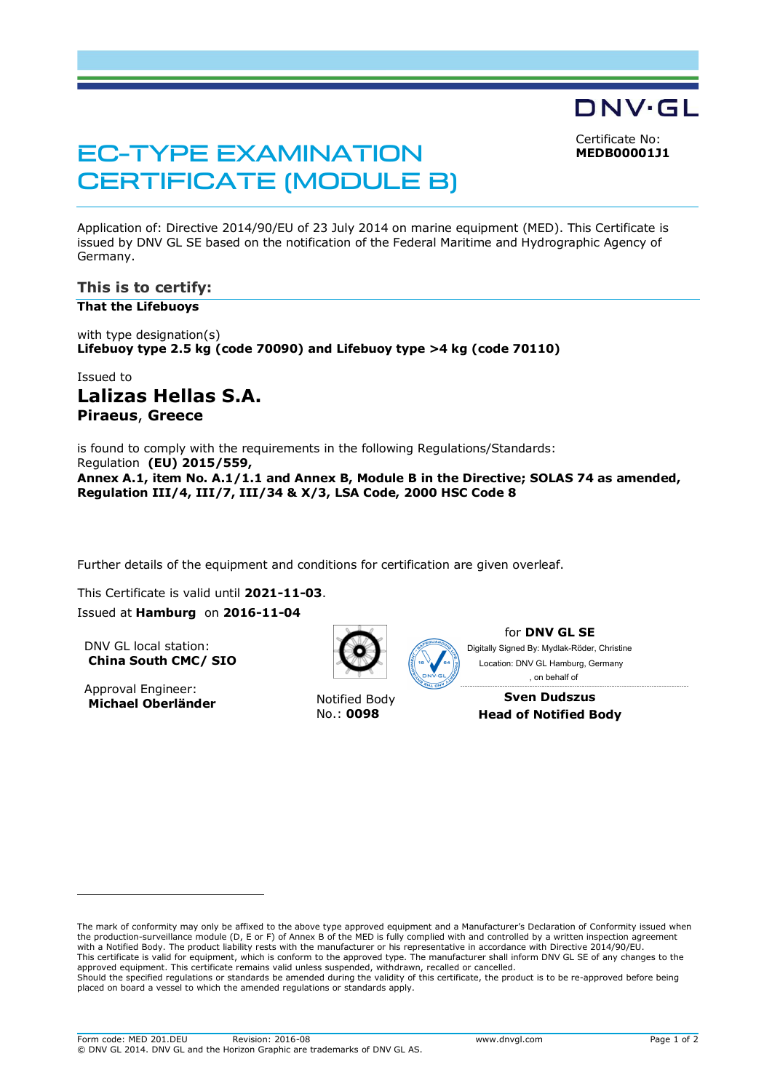Certificate No:

DNV·GL

**MEDB00001J1**

# EC-TYPE EXAMINATION CERTIFICATE (MODULE B)

Application of: Directive 2014/90/EU of 23 July 2014 on marine equipment (MED). This Certificate is issued by DNV GL SE based on the notification of the Federal Maritime and Hydrographic Agency of Germany.

## **This is to certify:**

#### **That the Lifebuoys**

with type designation(s) **Lifebuoy type 2.5 kg (code 70090) and Lifebuoy type >4 kg (code 70110)**

# Issued to **Lalizas Hellas S.A. Piraeus**, **Greece**

is found to comply with the requirements in the following Regulations/Standards: Regulation **(EU) 2015/559, Annex A.1, item No. A.1/1.1 and Annex B, Module B in the Directive; SOLAS 74 as amended, Regulation III/4, III/7, III/34 & X/3, LSA Code, 2000 HSC Code 8**

Further details of the equipment and conditions for certification are given overleaf.

This Certificate is valid until **2021-11-03**. Issued at **Hamburg** on **2016-11-04**

DNV GL local station: **China South CMC/ SIO**

Approval Engineer: **Michael Oberländer** Motified Body



No.: **0098**

for **DNV GL SE** Digitally Signed By: Mydlak-Röder, Christine

Location: DNV GL Hamburg, Germany , on behalf of

**Sven Dudszus Head of Notified Body**

The mark of conformity may only be affixed to the above type approved equipment and a Manufacturer's Declaration of Conformity issued when the production-surveillance module (D, E or F) of Annex B of the MED is fully complied with and controlled by a written inspection agreement with a Notified Body. The product liability rests with the manufacturer or his representative in accordance with Directive 2014/90/EU. This certificate is valid for equipment, which is conform to the approved type. The manufacturer shall inform DNV GL SE of any changes to the approved equipment. This certificate remains valid unless suspended, withdrawn, recalled or cancelled. Should the specified regulations or standards be amended during the validity of this certificate, the product is to be re-approved before being placed on board a vessel to which the amended regulations or standards apply.